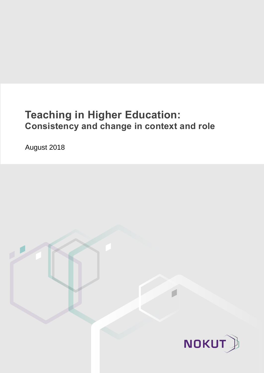# **Teaching in Higher Education: Consistency and change in context and role**

August 2018

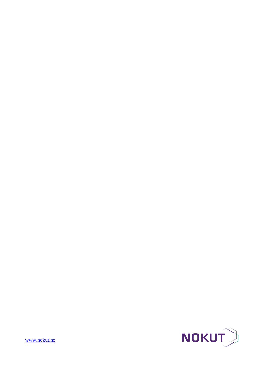

[www.nokut.no](http://www.nokut.no/)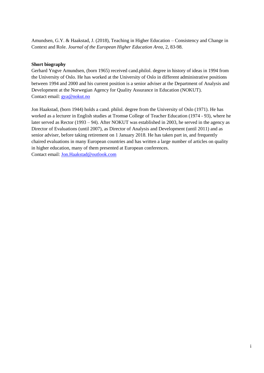Amundsen, G.Y. & Haakstad, J. (2018), Teaching in Higher Education – Consistency and Change in Context and Role. *Journal of the European Higher Education Area*, 2, 83-98.

#### **Short biography**

Gerhard Yngve Amundsen, (born 1965) received cand.philol. degree in history of ideas in 1994 from the University of Oslo. He has worked at the University of Oslo in different administrative positions between 1994 and 2000 and his current position is a senior adviser at the Department of Analysis and Development at the Norwegian Agency for Quality Assurance in Education (NOKUT). Contact email: [gya@nokut.no](mailto:gya@nokut.no)

Jon Haakstad, (born 1944) holds a cand. philol. degree from the University of Oslo (1971). He has worked as a lecturer in English studies at Tromsø College of Teacher Education (1974 - 93), where he later served as Rector (1993 – 94). After NOKUT was established in 2003, he served in the agency as Director of Evaluations (until 2007), as Director of Analysis and Development (until 2011) and as senior adviser, before taking retirement on 1 January 2018. He has taken part in, and frequently chaired evaluations in many European countries and has written a large number of articles on quality in higher education, many of them presented at European conferences. Contact email: [Jon.Haakstad@outlook.com](mailto:Jon.Haakstad@outlook.com)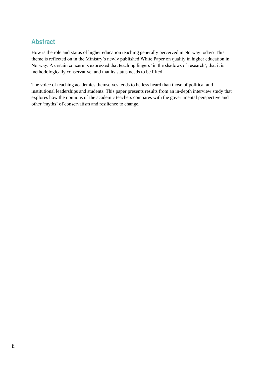# **Abstract**

How is the role and status of higher education teaching generally perceived in Norway today? This theme is reflected on in the Ministry's newly published White Paper on quality in higher education in Norway. A certain concern is expressed that teaching lingers 'in the shadows of research', that it is methodologically conservative, and that its status needs to be lifted.

The voice of teaching academics themselves tends to be less heard than those of political and institutional leaderships and students. This paper presents results from an in-depth interview study that explores how the opinions of the academic teachers compares with the governmental perspective and other 'myths' of conservatism and resilience to change.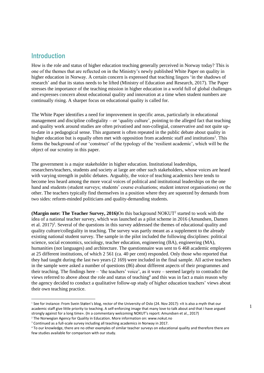#### **Introduction**

l

How is the role and status of higher education teaching generally perceived in Norway today? This is one of the themes that are reflected on in the Ministry's newly published White Paper on quality in higher education in Norway. A certain concern is expressed that teaching lingers 'in the shadows of research' and that its status needs to be lifted (Ministry of Education and Research, 2017). The Paper stresses the importance of the teaching mission in higher education in a world full of global challenges and expresses concern about educational quality and innovation at a time when student numbers are continually rising. A sharper focus on educational quality is called for.

The White Paper identifies a need for improvement in specific areas, particularly in educational management and discipline collegiality – or 'quality culture', pointing to the alleged fact that teaching and quality work around studies are often privatised and non-collegial, conservative and not quite upto-date in a pedagogical sense. This argument is often repeated in the public debate about quality in higher education but is equally often met with opposition from academic staff and institutions<sup>1</sup>. This forms the background of our 'construct' of the typology of the 'resilient academic', which will be the object of our scrutiny in this paper.

The government is a major stakeholder in higher education. Institutional leaderships, researchers/teachers, students and society at large are other such stakeholders, whose voices are heard with varying strength in public debates. Arguably, the voice of teaching academics here tends to become less heard among the more vocal voices of political and institutional leaderships on the one hand and students (student surveys; students' course evaluations; student interest organisations) on the other. The teachers typically find themselves in a position where they are squeezed by demands from two sides: reform-minded politicians and quality-demanding students.

(Margin note: The Teacher Survey, 2016)On this background NOKUT<sup>2</sup> started to work with the idea of a national teacher survey, which was launched as a pilot scheme in 2016 (Amundsen, Damen et al. 2017)<sup>3</sup>. Several of the questions in this survey addressed the themes of educational quality and quality culture/collegiality in teaching. The survey was partly meant as a supplement to the already existing national student survey. The sample in the pilot included the following disciplines: political science, social economics, sociology, teacher education, engineering (BA), engineering (MA), humanities (not languages) and architecture. The questionnaire was sent to 6 468 academic employees at 25 different institutions, of which 2 561 (ca. 40 per cent) responded. Only those who reported that they had taught during the last two years (2 169) were included in the final sample. All active teachers in the sample were asked a number of questions (86) about different aspects of their programmes and their teaching. The findings here – 'the teachers' voice', as it were – seemed largely to contradict the views referred to above about the role and status of teaching<sup>4</sup> and this was in fact a main reason why the agency decided to conduct a qualitative follow-up study of higher education teachers' views about their own teaching practice.

<sup>&</sup>lt;sup>1</sup> See for instance: From Svein Stølen's blog, rector of the University of Oslo (24. Nov 2017): «It is also a myth that our academic staff give little priority to teaching. A self-enforcing image that many love to talk about and that I have argued strongly against for a long time». (In a commentary welcoming NOKUT's report: Amundsen et al., 2017)

<sup>2</sup> The Norwegian Agency for Quality in Education. More information on: www.nokut.no

<sup>&</sup>lt;sup>3</sup> Continued as a full-scale survey including all teaching academics in Norway in 2017.

<sup>4</sup> To our knowledge, there are no other examples of similar teacher surveys on educational quality and therefore there are few studies available for comparison with our study.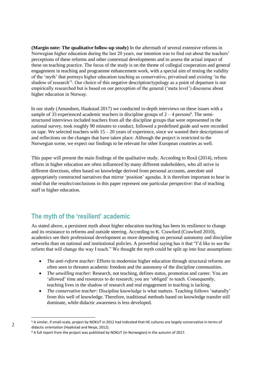**(Margin note: The qualitative follow-up study)** In the aftermath of several extensive reforms in Norwegian higher education during the last 20 years, our intention was to find out about the teachers' perceptions of these reforms and other contextual developments and to assess the actual impact of these on teaching practice. The focus of the study is on the theme of collegial cooperation and general engagement in teaching and programme enhancement work, with a special aim of testing the validity of the 'myth' that portrays higher education teaching as conservative, privatised and existing 'in the shadow of research<sup>'5</sup>. Our choice of this negative description/typology as a point of departure is not empirically researched but is based on our perception of the general ('meta level') discourse about higher education in Norway.

In our study (Amundsen, Haakstad 2017) we conducted in-depth interviews on these issues with a sample of 33 experienced academic teachers in discipline groups of  $2 - 4$  persons<sup>6</sup>. The semistructured interviews included teachers from all the discipline groups that were represented in the national survey, took roughly 90 minutes to conduct, followed a predefined guide and were recorded on tape. We selected teachers with  $15 - 20$  years of experience, since we wanted their descriptions of and reflections on the changes that have taken place. Although the project is restricted to the Norwegian scene, we expect our findings to be relevant for other European countries as well.

This paper will present the main findings of the qualitative study. According to Roxå (2014), reform efforts in higher education are often influenced by many different stakeholders, who all strive in different directions, often based on knowledge derived from personal accounts, anecdote and appropriately constructed narratives that mirror 'position' agendas. It is therefore important to bear in mind that the results/conclusions in this paper represent one particular perspective: that of teaching staff in higher education.

# **The myth of the 'resilient' academic**

As stated above, a persistent myth about higher education teaching has been its resilience to change and its resistance to reforms and outside steering. According to K. Crawford (Crawford 2010), academics see their professional development as more depending on personal autonomy and discipline networks than on national and institutional policies. A proverbial saying has it that "I'd like to see the reform that will change the way I teach." We thought the myth could be split up into four assumptions:

- *The anti-reform teacher:* Efforts to modernise higher education through structural reforms are often seen to threaten academic freedom and the autonomy of the discipline communities.
- *The unwilling teacher*: Research, not teaching, defines status, promotion and career. You are 'allowed' time and resources to do research; you are 'obliged' to teach. Consequently, teaching lives in the shadow of research and real engagement in teaching is lacking.
- *The conservative teacher:* Discipline knowledge is what matters. Teaching follows 'naturally' from this well of knowledge. Therefore, traditional methods based on knowledge transfer still dominate, while didactic awareness is less developed.

<sup>5</sup> A similar, if small-scale, project by NOKUT in 2012 had indicated that HE cultures are largely conservative in terms of didactic orientation (Haakstad and Nesje, 2012).

<sup>6</sup> A full report from the project was published by NOKUT (in Norwegian) in the autumn of 2017.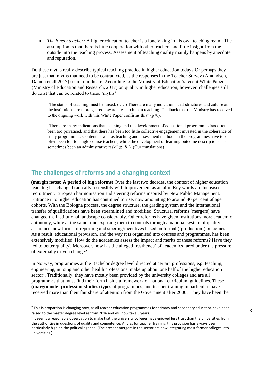*The lonely teacher:* A higher education teacher is a lonely king in his own teaching realm. The assumption is that there is little cooperation with other teachers and little insight from the outside into the teaching process. Assessment of teaching quality mainly happens by anecdote and reputation.

Do these myths really describe typical teaching practice in higher education today? Or perhaps they are just that: myths that need to be contradicted, as the responses in the Teacher Survey (Amundsen, Damen et all 2017) seem to indicate. According to the Ministry of Education's recent White Paper (Ministry of Education and Research, 2017) on quality in higher education, however, challenges still do exist that can be related to these 'myths':

"The status of teaching must be raised. ( … ) There are many indications that structures and culture at the institutions are more geared towards research than teaching. Feedback that the Ministry has received to the ongoing work with this White Paper confirms this" (p70).

"There are many indications that teaching and the development of educational programmes has often been too privatised, and that there has been too little collective engagement invested in the coherence of study programmes. Content as well as teaching and assessment methods in the programmes have too often been left to single course teachers, while the development of learning outcome descriptions has sometimes been an administrative task" (p. 81). (Our translations)

#### **The challenges of reforms and a changing context**

 $\overline{a}$ 

**(margin notes: A period of big reforms)** Over the last two decades, the context of higher education teaching has changed radically, ostensibly with improvement as an aim. Key words are increased recruitment, European harmonisation and steering reforms inspired by New Public Management. Entrance into higher education has continued to rise, now amounting to around 40 per cent of age cohorts. With the Bologna process, the degree structure, the grading system and the international transfer of qualifications have been streamlined and modified. Structural reforms (mergers) have changed the institutional landscape considerably. Other reforms have given institutions more academic autonomy, while at the same time exposing them to controls through a national system of quality assurance, new forms of reporting and steering/incentives based on formal ('production') outcomes. As a result, educational provision, and the way it is organised into courses and programmes, has been extensively modified. How do the academics assess the impact and merits of these reforms? Have they led to better quality? Moreover, how has the alleged 'resilience' of academics fared under the pressure of externally driven change?

In Norway, programmes at the Bachelor degree level directed at certain professions, e.g. teaching, engineering, nursing and other health professions, make up about one half of the higher education sector<sup>7</sup>. Traditionally, they have mostly been provided by the university colleges and are all programmes that must find their form inside a framework of national curriculum guidelines. These **(margin note: profession studies)** types of programmes, and teacher training in particular, have received more than their fair share of attention from the Government after 2000.<sup>8</sup> They have been the

<sup>7</sup> This is proportion is changing now, as all teacher education programmes for primary and secondary education have been raised to the master degree level as from 2016 and will now take 5 years.

<sup>&</sup>lt;sup>8</sup> It seems a reasonable observation to make that the university colleges have enjoyed less trust than the universities from the authorities in questions of quality and competence. And as for teacher training, this provision has always been particularly high on the political agenda. (The present mergers in the sector are now integrating most former colleges into universities.)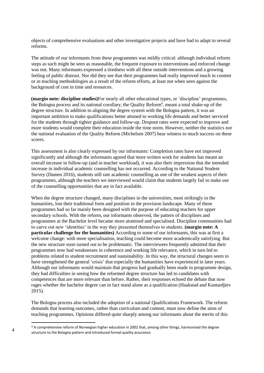objects of comprehensive evaluations and other investigative projects and have had to adapt to several reforms.

The attitude of our informants from these programmes was mildly critical: although individual reform steps as such might be seen as reasonable, the frequent exposure to interventions and enforced change was not. Many informants expressed a tiredness with all these outside interventions and a growing feeling of public distrust. Nor did they see that their programmes had really improved much in content or in teaching methodologies as a result of the reform efforts, at least not when seen against the background of cost in time and resources.

**(margin note: discipline studies)**For nearly all other educational types, or 'discipline' programmes, the Bologna process and its national corollary, the Quality Reform<sup>9</sup>, meant a total shake-up of the degree structure. In addition to aligning the degree system with the Bologna pattern, it was an important ambition to make qualifications better attuned to working life demands and better serviced for the students through tighter guidance and follow-up. Dropout rates were expected to improve and more students would complete their education inside the time norm. However, neither the statistics nor the national evaluation of the Quality Reform (Michelsen 2007) bear witness to much success on these scores.

This assessment is also clearly expressed by our informants: Completion rates have not improved significantly and although the informants agreed that more written work for students has meant an overall increase in follow-up (and in teacher workload), it was also their impression that the intended increase in individual academic counselling has not occurred. According to the National Student Survey (Damen 2016), students still rate academic counselling as one of the weakest aspects of their programmes, although the teachers we interviewed would claim that students largely fail to make use of the counselling opportunities that are in fact available.

When the degree structure changed, many disciplines in the universities, most strikingly in the humanities, lost their traditional form and position in the provision landscape. Many of these programmes had so far mainly been designed with the purpose of educating teachers for upper secondary schools. With the reform, our informants observed, the pattern of disciplines and programmes at the Bachelor level became more atomised and specialised. Discipline communities had to carve out new 'identities' in the way they presented themselves to students. **(margin note: A particular challenge for the humanities)** According to some of our informants, this was at first a welcome change: with more specialisation, teaching could become more academically satisfying. But the new structure soon turned out to be problematic. The interviewees frequently admitted that their programmes now had weaknesses in coherence and working life relevance, which in turn led to problems related to student recruitment and sustainability. In this way, the structural changes seem to have strengthened the general 'crisis' that especially the humanities have experienced in later years. Although our informants would maintain that progress had gradually been made in programme design, they had difficulties in seeing how the reformed degree structure has led to candidates with competences that are more relevant than before. Rather, their responses echoed the debate that now rages whether the bachelor degree can in fact stand alone as a qualification (Haakstad and Kantardjiev 2015).

The Bologna process also included the adoption of a national Qualifications Framework. The reform demands that learning outcomes, rather than curriculum and content, must now define the aims of teaching programmes. Opinions differed quite sharply among our informants about the merits of this

<sup>9</sup> A comprehensive reform of Norwegian higher education in 2002 that, among other things, harmonised the degree structure to the Bologna pattern and introduced formal quality assurance.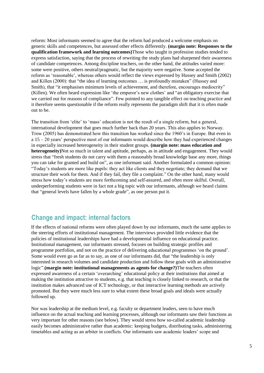reform: Most informants seemed to agree that the reform had produced a welcome emphasis on generic skills and competences, but assessed other effects differently. **(margin note: Responses to the qualification framework and learning outcomes)**Those who taught in profession studies tended to express satisfaction, saying that the process of rewriting the study plans had sharpened their awareness of candidate competences. Among discipline teachers, on the other hand, the attitudes varied more: some were positive, others neutral/pragmatic, but the majority were negative. Some accepted the reform as 'reasonable', whereas others would reflect the views expressed by Hussey and Smith (2002) and Killen (2000): that "the idea of learning outcomes … is profoundly mistaken" (Hussey and Smith), that "it emphasises minimum levels of achievement, and therefore, encourages mediocrity" (Killen). We often heard expression like 'the emperor's new clothes' and "an obligatory exercise that we carried out for reasons of compliance". Few pointed to any tangible effect on teaching practice and it therefore seems questionable if the reform really represents the paradigm shift that it is often made out to be.

The transition from 'elite' to 'mass' education is not the result of a single reform, but a general, international development that goes much further back than 20 years. This also applies to Norway. Trow (2005) has demonstrated how this transition has worked since the 1960's in Europe. But even in a 15 – 20 years' perspective most of our informants would describe how they had experienced changes in especially increased heterogeneity in their student groups. **(margin note: mass education and heterogeneity)**Not so much in talent and aptitude, perhaps, as in attitude and engagement. They would stress that "fresh students do not carry with them a reasonably broad knowledge base any more, things you can take for granted and build on", as one informant said. Another formulated a common opinion: "Today's students are more like pupils: they act like clients and they negotiate; they demand that we structure their work for them. And if they fail, they file a complaint." On the other hand, many would stress how today's students are more forthcoming and self-assured, and often more skilful. Overall, underperforming students were in fact not a big topic with our informants, although we heard claims that "general levels have fallen by a whole grade", as one person put it.

### **Change and impact: internal factors**

If the effects of national reforms were often played down by our informants, much the same applies to the steering efforts of institutional management. The interviews provided little evidence that the policies of institutional leaderships have had a developmental influence on educational practice. Institutional management, our informants stressed, focuses on building strategic profiles and programme portfolios, and not on the practice of delivering educational programmes 'on the ground'. Some would even go as far as to say, as one of our informants did, that "the leadership is only interested in research volumes and candidate production and follow these goals with an administrative logic".**(margin note: institutional managements as agents for change?)**The teachers often expressed awareness of a certain 'overarching' educational policy at their institutions that aimed at making the institution attractive to students, e.g. that teaching is closely linked to research, or that the institution makes advanced use of ICT technology, or that interactive learning methods are actively promoted. But they were much less sure to what extent these broad goals and ideals were actually followed up.

Nor was leadership at the medium level, e.g. faculty or department leaders, seen to have much influence on the actual teaching and learning processes, although our informants saw their functions as very important for other reasons (see below). They would stress how so-called academic leadership easily becomes administrative rather than academic: keeping budgets, distributing tasks, administering timetables and acting as an arbiter in conflicts. Our informants saw academic leaders' scope and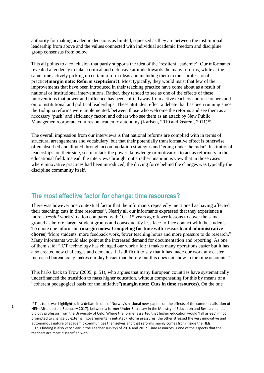authority for making academic decisions as limited, squeezed as they are between the institutional leadership from above and the values connected with individual academic freedom and discipline group consensus from below.

This all points to a conclusion that partly supports the idea of the 'resilient academic': Our informants revealed a tendency to take a critical and defensive attitude towards the many reforms, while at the same time actively picking up certain reform ideas and including them in their professional practice**(margin note: Reform scepticism?)**. Most typically, they would insist that few of the improvements that have been introduced in their teaching practice have come about as a result of national or institutional interventions. Rather, they tended to see as one of the effects of these interventions that power and influence has been shifted away from active teachers and researchers and on to institutional and political leaderships. These attitudes reflect a debate that has been running since the Bologna reforms were implemented: between those who welcome the reforms and see them as a necessary 'push' and efficiency factor, and others who see them as an attack by New Public Management/corporate cultures on academic autonomy (Karlsen, 2010 and Østrem, 2011)<sup>10</sup>.

The overall impression from our interviews is that national reforms are complied with in terms of structural arrangements and vocabulary, but that their potentially transformative effect is otherwise often absorbed and diluted through accommodation strategies and 'going under the radar'. Institutional leaderships, on their side, seem to lack the power, knowledge or motivation to act as reformers in the educational field. Instead, the interviews brought out a rather unanimous view that in those cases where innovative practices had been introduced, the driving force behind the changes was typically the discipline community itself.

#### **The most effective factor for change: time resources?**

There was however one contextual factor that the informants repeatedly mentioned as having affected their teaching: cuts in time resources<sup>11</sup>. Nearly all our informants expressed that they experience a more *stressful* work situation compared with  $10 - 15$  years ago: fewer lessons to cover the same ground as before, larger student groups and consequently less face-to-face contact with the students. To quote one informant: **(margin notes: Competing for time with research and administrative chores**)"More students, more feedback work, fewer teaching hours and more pressure to do research." Many informants would also point at the increased demand for documentation and reporting. As one of them said: "ICT technology has changed our work a lot: it makes many operations easier but it has also created new challenges and demands. It is difficult to say that it has made our work any easier. Increased bureaucracy makes our day busier than before but this does not show in the time accounts."

This harks back to Trow (2005, p. 51), who argues that many European countries have systematically underfinanced the transition to mass higher education, without compensating for this by means of a "coherent pedagogical basis for the initiative"**(margin note: Cuts in time resources)**. On the one

<sup>6</sup>

<sup>&</sup>lt;sup>10</sup> This topic was highlighted in a debate in one of Norway's national newspapers on the effects of the commercialisation of HEIs (Aftenposten, 5 January 2017), between a former Under-Secretary in the Ministry of Education and Research and a biology professor from the University of Oslo. Where the former asserted that higher education would 'fall asleep' if not prompted to change by external (governmentally initiated) reform pressures, the other stressed the very innovative and autonomous nature of academic communities themselves and that reforms mainly comes from inside the HEIs.  $<sup>11</sup>$  This finding is also very clear in the Teacher surveys of 2016 and 2017. Time resources is one of the aspects that the</sup> teachers are most dissatisfied with.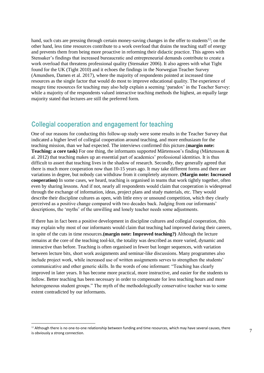hand, such cuts are pressing through certain money-saving changes in the offer to students<sup>12</sup>; on the other hand, less time resources contribute to a work overload that drains the teaching staff of energy and prevents them from being more proactive in reforming their didactic practice. This agrees with Stensaker's findings that increased bureaucratic and entrepreneurial demands contribute to create a work overload that threatens professional quality (Stensaker 2006). It also agrees with what Tight found for the UK (Tight 2010) and it echoes the findings in the Norwegian Teacher Survey (Amundsen, Damen et al. 2017), where the majority of respondents pointed at increased time resources as the single factor that would do most to improve educational quality. The experience of meagre time resources for teaching may also help explain a seeming 'paradox' in the Teacher Survey: while a majority of the respondents valued interactive teaching methods the highest, an equally large majority stated that lectures are still the preferred form*.*

## **Collegial cooperation and engagement for teaching**

One of our reasons for conducting this follow-up study were some results in the Teacher Survey that indicated a higher level of collegial cooperation around teaching, and more enthusiasm for the teaching mission, than we had expected. The interviews confirmed this picture.(**margin note: Teaching: a core task)** For one thing, the informants supported Mårtensson's finding (Mårtensson & al. 2012) that teaching makes up an essential part of academics' professional identities. It is thus difficult to assert that teaching lives in the shadow of research. Secondly, they generally agreed that there is much more cooperation now than 10-15 years ago. It may take different forms and there are variations in degree, but nobody can withdraw from it completely anymore. **(Margin note: Increased cooperation)** In some cases, we heard, teaching is organised in teams that work tightly together, often even by sharing lessons. And if not, nearly all respondents would claim that cooperation is widespread through the exchange of information, ideas, project plans and study materials, etc. They would describe their discipline cultures as open, with little envy or unsound competition, which they clearly perceived as a positive change compared with two decades back. Judging from our informants' descriptions, the 'myths' of the unwilling and lonely teacher needs some adjustments.

If there has in fact been a positive development in discipline cultures and collegial cooperation, this may explain why most of our informants would claim that teaching had improved during their careers, in spite of the cuts in time resources.**(margin note: Improved teaching?)** Although the lecture remains at the core of the teaching tool-kit, the totality was described as more varied, dynamic and interactive than before. Teaching is often organised in fewer but longer sequences, with variation between lecture bits, short work assignments and seminar-like discussions. Many programmes also include project work, while increased use of written assignments serves to strengthen the students' communicative and other generic skills. In the words of one informant: "Teaching has clearly improved in later years. It has become more practical, more instructive, and easier for the students to follow. Better teaching has been necessary in order to compensate for less teaching hours and more heterogeneous student groups." The myth of the methodologically conservative teacher was to some extent contradicted by our informants.

 $12$  Although there is no one-to-one relationship between funding and time resources, which may have several causes, there is obviously a strong connection.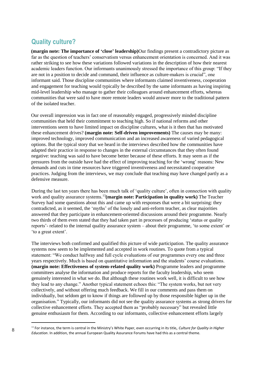# **Quality culture?**

**(margin note: The importance of 'close' leadership)**Our findings present a contradictory picture as far as the question of teachers' conservatism versus enhancement orientation is concerned. And it was rather striking to see how these variations followed variations in the description of how their nearest academic leaders function. Our informants unanimously stressed the importance of this group: "If they are not in a position to decide and command, their influence as culture-makers is crucial", one informant said. Those discipline communities where informants claimed inventiveness, cooperation and engagement for teaching would typically be described by the same informants as having inspiring mid-level leadership who manage to gather their colleagues around enhancement efforts, whereas communities that were said to have more remote leaders would answer more to the traditional pattern of the isolated teacher.

Our overall impression was in fact one of reasonably engaged, progressively minded discipline communities that held their commitment to teaching high. So if national reforms and other interventions seem to have limited impact on discipline cultures, what is it then that has motivated these enhancement drives? **(margin note: Self-driven improvements)** The causes may be many: improved technology, improved communication and an increased awareness of varied pedagogical options. But the typical story that we heard in the interviews described how the communities have adapted their practice in response to changes in the external circumstances that they often found negative: teaching was said to have become better because of these efforts. It may seem as if the pressures from the outside have had the effect of improving teaching for the 'wrong' reasons: New demands and cuts in time resources have triggered inventiveness and necessitated cooperative practices. Judging from the interviews, we may conclude that teaching may have changed partly as a defensive measure.

During the last ten years there has been much talk of 'quality culture', often in connection with quality work and quality assurance systems.<sup>13</sup>**(margin note: Participation in quality work)** The Teacher Survey had some questions about this and came up with responses that were a bit surprising: they contradicted, as it seemed, the 'myths' of the lonely and anti-reform teacher, as clear majorities answered that they participate in enhancement-oriented discussions around their programme. Nearly two thirds of them even stated that they had taken part in processes of producing 'status or quality reports'- related to the internal quality assurance system – about their programme, 'to some extent' or 'to a great extent'.

The interviews both confirmed and qualified this picture of wide participation. The quality assurance systems now seem to be implemented and accepted in work routines. To quote from a typical statement: "We conduct halfway and full cycle evaluations of our programmes every one and three years respectively. Much is based on quantitative information and the students' course evaluations. **(margin note: Effectiveness of system-related quality work)** Programme leaders and programme committees analyse the information and produce reports for the faculty leadership, who seem genuinely interested in what we do. But although these routines work well, it is difficult to see how they lead to any change." Another typical statement echoes this: "The system works, but not very collectively, and without offering much feedback. We fill in our comments and pass them on individually, but seldom get to know if things are followed up by those responsible higher up in the organisation." Typically, our informants did not see the quality assurance systems as strong drivers for collective enhancement efforts. They accepted them as "probably necessary" but revealed little genuine enthusiasm for them. According to our informants, collective enhancement efforts largely

<sup>13</sup> For instance, the term is central in the Ministry's White Paper, even occurring in its title, *Culture for Quality in Higher Education*. In addition, the annual European Quality Assurance Forums have had this as a central theme.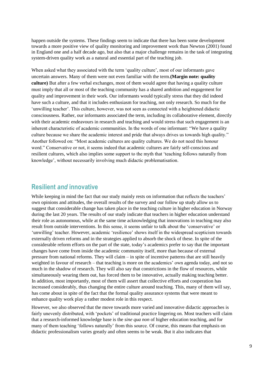happen outside the systems. These findings seem to indicate that there has been some development towards a more positive view of quality monitoring and improvement work than Newton (2001) found in England one and a half decade ago, but also that a major challenge remains in the task of integrating system-driven quality work as a natural and essential part of the teaching job.

When asked what they associated with the term 'quality culture', most of our informants gave uncertain answers. Many of them were not even familiar with the term.**(Margin note: quality culture)** But after a few verbal exchanges, most of them would agree that having a quality culture must imply that all or most of the teaching community has a shared ambition and engagement for quality and improvement in their work. Our informants would typically stress that they did indeed have such a culture, and that it includes enthusiasm for teaching, not only research. So much for the 'unwilling teacher'. This culture, however, was not seen as connected with a heightened didactic consciousness. Rather, our informants associated the term, including its collaborative element, directly with their academic endeavours in research and teaching and would stress that such engagement is an inherent characteristic of academic communities. In the words of one informant: "We have a quality culture because we share the academic interest and pride that always drives us towards high quality." Another followed on: "Most academic cultures are quality cultures. We do not need this honour word." Conservative or not, it seems indeed that academic cultures are fairly self-conscious and resilient cultures, which also implies some support to the myth that 'teaching follows naturally from knowledge', without necessarily involving much didactic problematisation.

#### **Resilient** *and* **innovative**

While keeping in mind the fact that our study mainly rests on information that reflects the teachers' own opinions and attitudes, the overall results of the survey and our follow up study allow us to suggest that considerable change has taken place in the teaching culture in higher education in Norway during the last 20 years. The results of our study indicate that teachers in higher education understand their role as autonomous, while at the same time acknowledging that innovations in teaching may also result from outside interventions. In this sense, it seems unfair to talk about the 'conservative' or 'unwilling' teacher. However, academic 'resilience' shows itself in the widespread scepticism towards externally driven reforms and in the strategies applied to absorb the shock of these. In spite of the considerable reform efforts on the part of the state, today's academics prefer to say that the important changes have come from inside the academic community itself, more than because of external pressure from national reforms. They will claim – in spite of incentive patterns that are still heavily weighted in favour of research – that teaching is more on the academics' own agenda today, and not so much in the shadow of research. They will also say that constrictions in the flow of resources, while simultaneously wearing them out, has forced them to be innovative, actually making teaching better. In addition, most importantly, most of them will assert that collective efforts and cooperation has increased considerably, thus changing the entire culture around teaching. This, many of them will say, has come about in spite of the fact that the formal quality assurance systems that were meant to enhance quality work play a rather modest role in this respect.

However, we also observed that the move towards more varied and innovative didactic approaches is fairly unevenly distributed, with 'pockets' of traditional practice lingering on. Most teachers will claim that a research-informed knowledge base is the *sine qua non* of higher education teaching, and for many of them teaching 'follows naturally' from this source. Of course, this means that emphasis on didactic professionalism varies greatly and often seems to be weak. But it also indicates that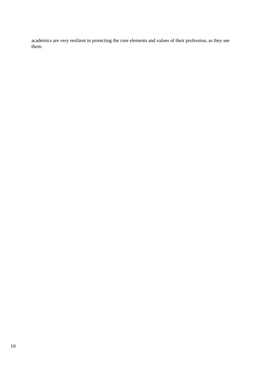academics are very resilient in protecting the core elements and values of their profession, as they see them.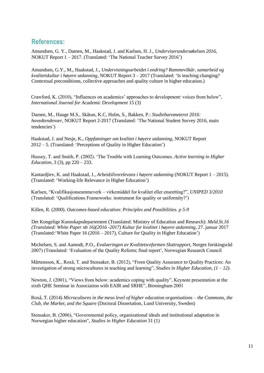#### **References:**

Amundsen, G. Y., Damen, M., Haakstad, J. and Karlsen, H. J., *Underviserundersøkelsen 2016,* NOKUT Report 1 – 2017. (Translated: 'The National Teacher Survey 2016')

Amundsen, G.Y., M., Haakstad, J., *Undervisningsarbeidet i endring? Rammevilkår, samarbeid og kvalitetskultur i høyere utdanning,* NOKUT Report 3 – 2017 (Translated: 'Is teaching changing? Contextual preconditions, collective approaches and quality culture in higher education.)

Crawford, K. (2010), "Influences on academics' approaches to development: voices from below", *International Journal for Academic Development* 15 (3)

Damen, M., Hauge M.S., Skåtun, K.C, Holm, S., Bakken, P.: *Studiebarometeret 2016: hovedtendenser,* NOKUT Report 2-2017 (Translated: 'The National Student Survey 2016, main tendencies')

Haakstad, J. and Nesje, K., *Oppfatninger om kvalitet i høyere utdanning,* NOKUT Report 2012 – 5. (Translated: 'Perceptions of Quality in Higher Education')

Hussey, T. and Smith, P. (2002). 'The Trouble with Learning Outcomes. *Active learning in Higher Education,* 3 (3), pp 220 – 233.

Kantardjiev, K. and Haakstad, J., *Arbeidslivsrelevans i høyere utdanning* (NOKUT Report 1 – 2015). (Translated: 'Working-life Relevance in Higher Education')

Karlsen, "Kvalifikasjonsrammeverk – virkemiddel for kvalitet eller ensretting?", *UNIPED 3/2010* (Translated: 'Qualifications Frameworks: instrument for quality or uniformity?')

Killen, R. (2000). *Outcomes-based education: Principles and Possibilities. p 5-9*

Det Kongelige Kunnskapsdepartement (Translated: Ministry of Education and Research): *Meld.St.16 (Translated: White Paper nb 16)(2016 -2017) Kultur for kvalitet i høyere utdanning*, 27. januar 2017 (Translated:'White Paper 16 (2016 – 2017), Culture for Quality in Higher Education')

Michelsen, S. and Aamodt, P.O., *Evalueringen av Kvalitetsreformen Sluttrapport*, Norges forskingsråd 2007) (Translated: 'Evaluation of the Quality Reform; final report', Norwegian Research Council

Mårtensson, K., Roxå, T. and Stensaker, B. (2012), "From Quality Assurance to Quality Practices: An investigation of strong microcultures in teaching and learning", *Studies in Higher Education, (1 – 12).* 

Newton, J. (2001), "Views from below: academics coping with quality", Keynote presentation at the sixth QHE Seminar in Association with EAIR and SRHE", Birmingham 2001

Roxå, T. (2014) *Microcultures in the meso level of higher education organisations – the Commons, the Club, the Market, and the Square* (Doctoral Dissertation, Lund University, Sweden)

Stensaker, B. (2006), "Governmental policy, organizational ideals and institutional adaptation in Norwegian higher education", *Studies in Higher Education* 31 (1)